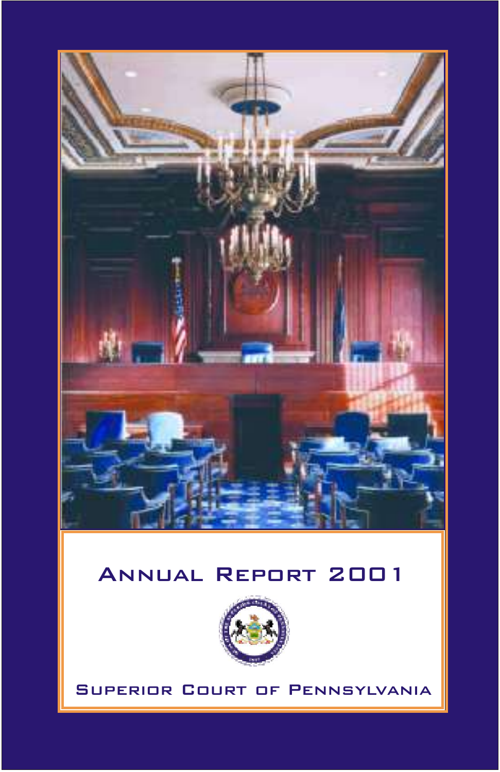

# Annual Report 2001



## Superior Court of Pennsylvania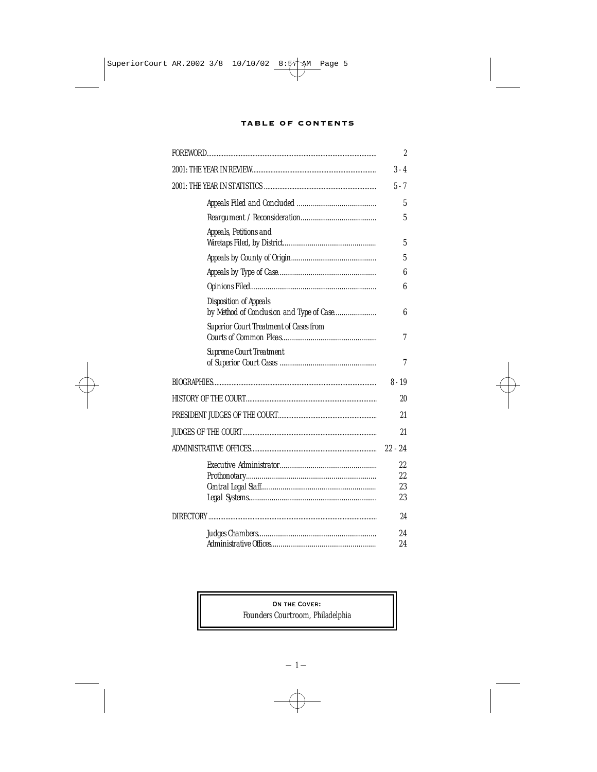### TABLE OF CONTENTS

|                                                                           | 2              |
|---------------------------------------------------------------------------|----------------|
|                                                                           | $3 - 4$        |
|                                                                           | $5 - 7$        |
|                                                                           | 5              |
|                                                                           | $\mathfrak{H}$ |
| Appeals, Petitions and                                                    | 5              |
|                                                                           | 5              |
|                                                                           | ĥ              |
|                                                                           | 6              |
| <b>Disposition of Appeals</b><br>by Method of Conclusion and Type of Case | 6              |
| <b>Superior Court Treatment of Cases from</b>                             | 7              |
| Supreme Court Treatment                                                   | 7              |
|                                                                           | $8 - 19$       |
|                                                                           | 20             |
|                                                                           | 21             |
|                                                                           | 21             |
|                                                                           | $22 - 24$      |
|                                                                           | 22<br>22       |
|                                                                           | 23             |
|                                                                           | 23             |
|                                                                           | 24             |
|                                                                           | 24             |
|                                                                           | 24             |

# On the Cover:

*Founders Courtroom,* Philadelphia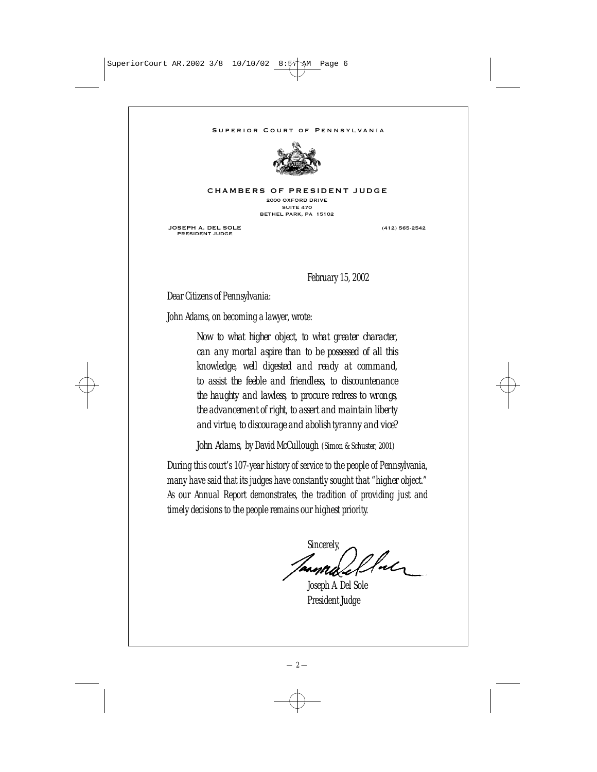#### SUPERIOR COURT OF PENNSYLVANIA



CHAMBERS OF PRESIDENT JUDGE 2000 OXFORD DRIVE SUITE 470 BETHEL PARK, PA 15102

JOSEPH A. DEL SOLE (412) 565-2542 PRESIDENT JUDGE

February 15, 2002

Dear Citizens of Pennsylvania:

John Adams, on becoming a lawyer, wrote:

*Now to what higher object, to what greater character, can any mortal aspire than to be possessed of all this knowledge, well digested and ready at command, to assist the feeble and friendless, to discountenance the haughty and lawless, to procure redress to wrongs, the advancement of right, to assert and maintain liberty and virtue, to discourage and abolish tyranny and vice?*

*John Adams,* by David McCullough (Simon & Schuster, 2001)

During this court's 107-year history of service to the people of Pennsylvania, many have said that its judges have constantly sought that "higher object." As our Annual Report demonstrates, the tradition of providing just and timely decisions to the people remains our highest priority.

Sincerely, Illa

Joseph A. Del Sole President Judge

*— 2 —*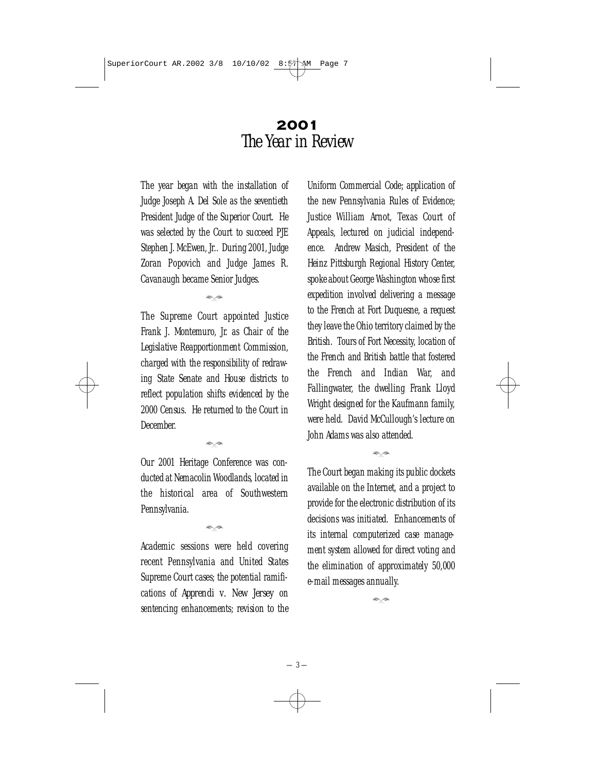# 2001 *The Year in Review*

The year began with the installation of Judge Joseph A. Del Sole as the seventieth President Judge of the Superior Court. He was selected by the Court to succeed PJE Stephen J. McEwen, Jr.. During 2001, Judge Zoran Popovich and Judge James R. Cavanaugh became Senior Judges.

 $\epsilon$ 

The Supreme Court appointed Justice Frank J. Montemuro, Jr. as Chair of the Legislative Reapportionment Commission, charged with the responsibility of redrawing State Senate and House districts to reflect population shifts evidenced by the 2000 Census. He returned to the Court in December.

 $\widehat{\phantom{I}}$ 

Our 2001 Heritage Conference was conducted at Nemacolin Woodlands, located in the historical area of Southwestern Pennsylvania.

 $\epsilon$ 

Academic sessions were held covering recent Pennsylvania and United States Supreme Court cases; the potential ramifications of *Apprendi v. New Jersey* on sentencing enhancements; revision to the Uniform Commercial Code; application of the new Pennsylvania Rules of Evidence; Justice William Arnot, Texas Court of Appeals, lectured on judicial independence. Andrew Masich, President of the Heinz Pittsburgh Regional History Center, spoke about George Washington whose first expedition involved delivering a message to the French at Fort Duquesne, a request they leave the Ohio territory claimed by the British. Tours of Fort Necessity, location of the French and British battle that fostered the French and Indian War, and Fallingwater, the dwelling Frank Lloyd Wright designed for the Kaufmann family, were held. David McCullough's lecture on John Adams was also attended.

The Court began making its public dockets available on the Internet, and a project to provide for the electronic distribution of its decisions was initiated. Enhancements of its internal computerized case management system allowed for direct voting and the elimination of approximately 50,000 e-mail messages annually.

 $\bigotimes$ 

 $\Rightarrow \Rightarrow$ 

*— 3 —*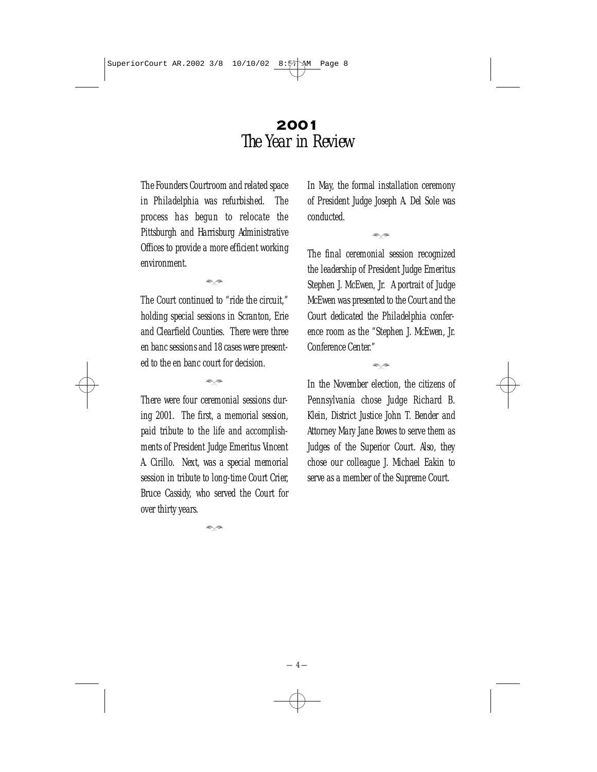## 2001 *The Year in Review*

The Founders Courtroom and related space in Philadelphia was refurbished. The process has begun to relocate the Pittsburgh and Harrisburg Administrative Offices to provide a more efficient working environment

The Court continued to "ride the circuit," holding special sessions in Scranton, Erie and Clearfield Counties. There were three en banc sessions and 18 cases were presented to the en banc court for decision.

 $\triangle$ 

 $\epsilon$ 

There were four ceremonial sessions during 2001. The first, a memorial session, paid tribute to the life and accomplishments of President Judge Emeritus Vincent A. Cirillo. Next, was a special memorial session in tribute to long-time Court Crier, Bruce Cassidy, who served the Court for over thirty years.

In May, the formal installation ceremony of President Judge Joseph A. Del Sole was conducted

 $\epsilon$ 

The final ceremonial session recognized the leadership of President Judge Emeritus Stephen J. McEwen, Jr. A portrait of Judge McEwen was presented to the Court and the Court dedicated the Philadelphia conference room as the "Stephen J. McEwen, Jr. Conference Center. "

In the November election, the citizens of Pennsylvania chose Judge Richard B. Klein, District Justice John T. Bender and Attorney Mary Jane Bowes to serve them as Judges of the Superior Court. Also, they chose our colleague J. Michael Eakin to serve as a member of the Supreme Court.

 $\epsilon$ 

 $\epsilon$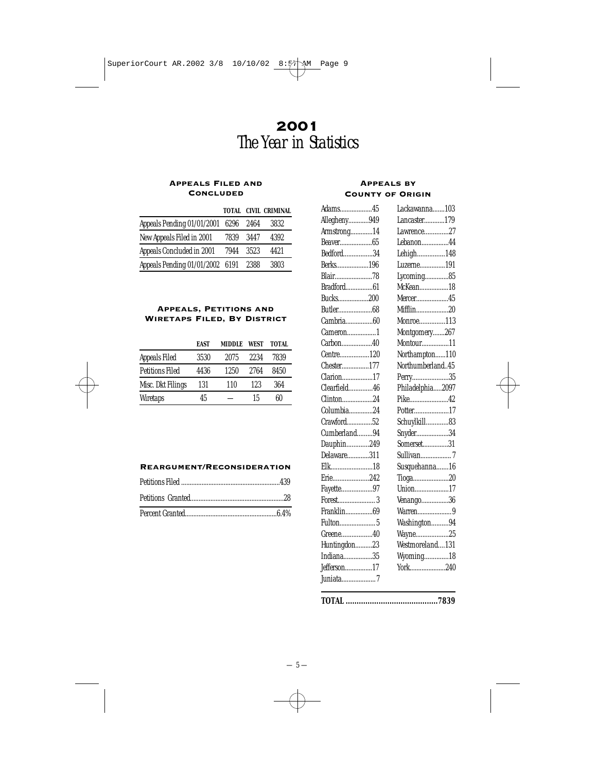# 2001 *The Year in Statistics*

### Appeals Filed and **CONCLUDED**

|                                 |      |      | TOTAL CIVIL CRIMINAL |
|---------------------------------|------|------|----------------------|
| Appeals Pending 01/01/2001      | 6296 | 2464 | 3832                 |
| New Appeals Filed in 2001       | 7839 | 3447 | 4392                 |
| Appeals Concluded in 2001       | 7944 | 3523 | 4421                 |
| Appeals Pending 01/01/2002 6191 |      | 2388 | 3803                 |

### Appeals, Petitions and Wiretaps Filed, By District

|                        | EAST | <b>MIDDLE</b> | WEST | TOTAL |
|------------------------|------|---------------|------|-------|
| Appeals Filed          | 3530 | 2075          | 2234 | 7839  |
| <b>Petitions Filed</b> | 4436 | 1250          | 2764 | 8450  |
| Misc. Dkt Filings      | 131  | 110           | 123  | 364   |
| Wiretaps               | 45   |               | 15   | 60    |

### Reargument/Reconsideration

### Appeals by County of Origin

| Adams45      | Lackawanna103    |
|--------------|------------------|
| Allegheny949 | Lancaster179     |
| Armstrong14  | Lawrence27       |
| Beaver65     | Lebanon44        |
| Bedford34    | Lehigh148        |
| Berks196     | Luzerne191       |
| Blair78      | Lycoming85       |
| Bradford61   | McKean18         |
| Bucks200     | Mercer45         |
| Butler68     | Mifflin20        |
| Cambria60    | Monroe113        |
| Cameron1     | Montgomery267    |
| Carbon40     | Montour11        |
| Centre120    | Northampton110   |
| Chester177   | Northumberland45 |
| Clarion17    | Perry35          |
| Clearfield46 | Philadelphia2097 |
| Clinton24    | Pike42           |
| Columbia24   | Potter17         |
| Crawford52   | Schuylkill83     |
| Cumberland94 | Snyder34         |
| Dauphin249   | Somerset31       |
| Delaware311  | Sullivan7        |
| Elk18        | Susquehanna16    |
| Erie242      | Tioga20          |
| Fayette97    | Union17          |
| Forest3      | Venango36        |
| Franklin69   | Warren9          |
| Fulton 5     | Washington94     |
| Greene40     | Wayne25          |
| Huntingdon23 | Westmoreland131  |
| Indiana35    | Wyoming18        |
| Jefferson17  | York240          |
| Juniata7     |                  |
|              |                  |

|--|--|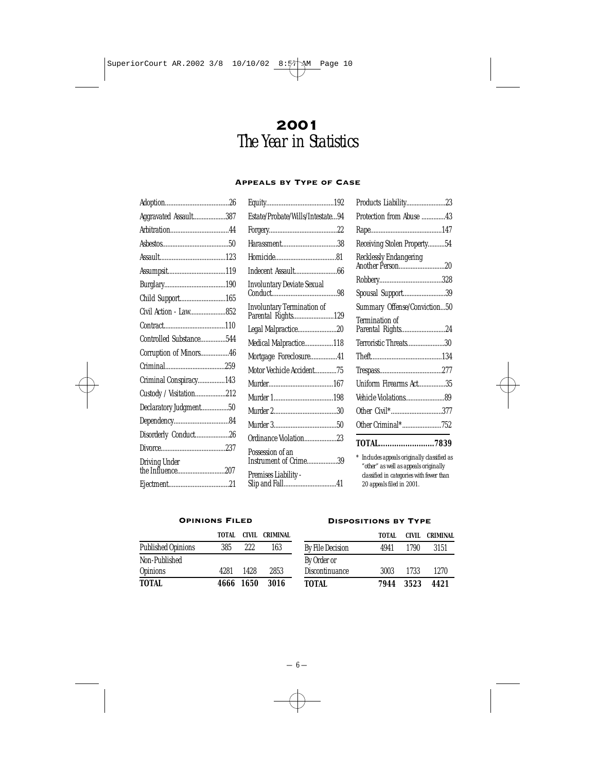# 2001 *The Year in Statistics*

### Appeals by Type of Case

| Aggravated Assault387                    |  |
|------------------------------------------|--|
|                                          |  |
|                                          |  |
|                                          |  |
| Assumpsit119                             |  |
|                                          |  |
| Child Support165                         |  |
| Civil Action - Law852                    |  |
|                                          |  |
| Controlled Substance544                  |  |
| Corruption of Minors46                   |  |
|                                          |  |
| Criminal Conspiracy143                   |  |
| Custody / Visitation212                  |  |
| Declaratory Judgment50                   |  |
|                                          |  |
| Disorderly Conduct26                     |  |
|                                          |  |
| <b>Driving Under</b><br>the Influence207 |  |
|                                          |  |

| Estate/Probate/Wills/Intestate94                        |
|---------------------------------------------------------|
|                                                         |
| Harassment38                                            |
|                                                         |
|                                                         |
| <b>Involuntary Deviate Sexual</b>                       |
| <b>Involuntary Termination of</b><br>Parental Rights129 |
| Legal Malpractice20                                     |
| Medical Malpractice118                                  |
| Mortgage Foreclosure41                                  |
| Motor Vechicle Accident75                               |
|                                                         |
|                                                         |
|                                                         |
|                                                         |
| Ordinance Violation23                                   |
| Possession of an<br>Instrument of Crime39               |
| Premises Liability -<br>Slip and Fall41                 |

| Products Liability23                              |  |
|---------------------------------------------------|--|
| Protection from Abuse 43                          |  |
|                                                   |  |
| Receiving Stolen Property54                       |  |
| <b>Recklessly Endangering</b><br>Another Person20 |  |
|                                                   |  |
| Spousal Support39                                 |  |
| Summary Offense/Conviction50                      |  |
| <b>Termination of</b><br>Parental Rights24        |  |
| Terroristic Threats30                             |  |
|                                                   |  |
|                                                   |  |
| Uniform Firearms Act35                            |  |
|                                                   |  |
| Other Civil*377                                   |  |
| Other Criminal*752                                |  |
|                                                   |  |

## **TOTAL.........................7839**

*\* Includes appeals originally classified as "other" as well as appeals originally classified in categories with fewer than 20 appeals filed in 2001.*

### Opinions Filed

### Dispositions by Type

|                           | <b>TOTAL</b> |      | CIVIL CRIMINAL |                  | <b>TOTAL</b> | <b>CIVIL</b> | CRIMINAL |
|---------------------------|--------------|------|----------------|------------------|--------------|--------------|----------|
| <b>Published Opinions</b> | 385          | 222  | 163            | By File Decision | 4941         | 790          | 3151     |
| Non-Published             |              |      |                | By Order or      |              |              |          |
| <i><b>Opinions</b></i>    | 4281         | 1428 | 2853           | Discontinuance   | 3003         | 1733         | 1270     |
| <b>TOTAL</b>              | 4666         | 1650 | 3016           | <b>TOTAL</b>     | 7944         | 3523         | 4421     |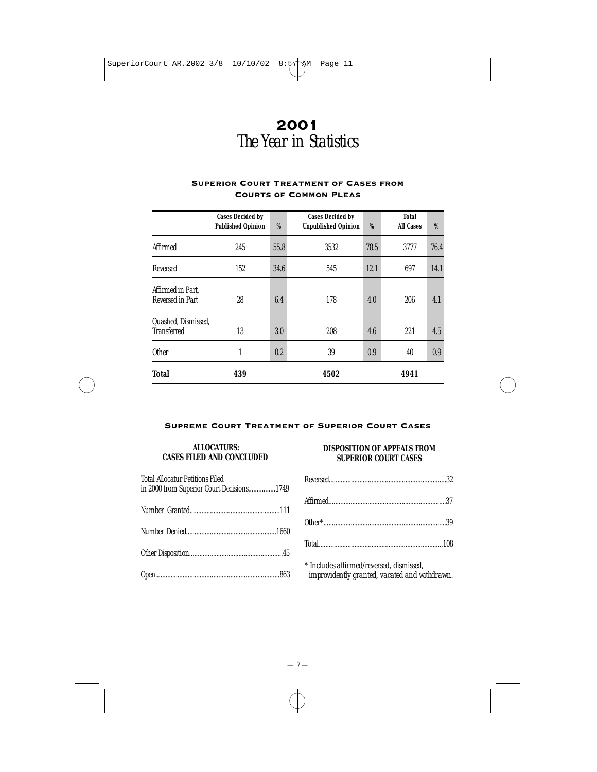# 2001 *The Year in Statistics*

| <b>SUPERIOR COURT TREATMENT OF CASES FROM</b> |                               |  |
|-----------------------------------------------|-------------------------------|--|
|                                               | <b>COURTS OF COMMON PLEAS</b> |  |

|                                           | <b>Cases Decided by</b><br><b>Published Opinion</b> | %    | <b>Cases Decided by</b><br><b>Unpublished Opinion</b> | %    | <b>Total</b><br><b>All Cases</b> | %    |
|-------------------------------------------|-----------------------------------------------------|------|-------------------------------------------------------|------|----------------------------------|------|
| Affirmed                                  | 245                                                 | 55.8 | 3532                                                  | 78.5 | 3777                             | 76.4 |
| Reversed                                  | 152                                                 | 34.6 | 545                                                   | 12.1 | 697                              | 14.1 |
| Affirmed in Part,<br>Reversed in Part     | 28                                                  | 6.4  | 178                                                   | 4.0  | 206                              | 4.1  |
| Quashed, Dismissed,<br><b>Transferred</b> | 13                                                  | 3.0  | 208                                                   | 4.6  | 221                              | 4.5  |
| <b>Other</b>                              | 1                                                   | 0.2  | 39                                                    | 0.9  | 40                               | 0.9  |
| <b>Total</b>                              | 439                                                 |      | 4502                                                  |      | 4941                             |      |

### Supreme Court Treatment of Superior Court Cases

### **ALLOCATURS: CASES FILED AND CONCLUDED**

### **DISPOSITION OF APPEALS FROM SUPERIOR COURT CASES**

| Total Allocatur Petitions Filed<br>in 2000 from Superior Court Decisions1749 |  |
|------------------------------------------------------------------------------|--|
|                                                                              |  |
|                                                                              |  |
|                                                                              |  |
|                                                                              |  |

*\* Includes affirmed/reversed, dismissed, improvidently granted, vacated and withdrawn.*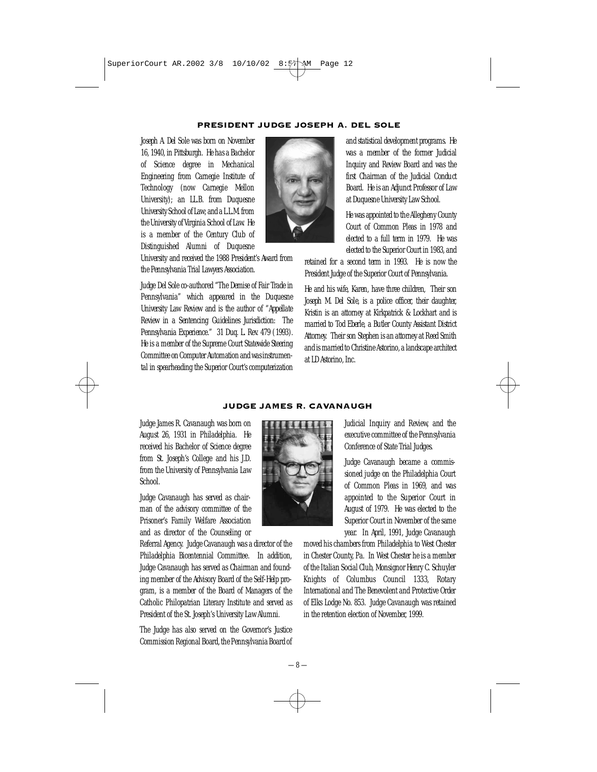### PRESIDENT JUDGE JOSEPH A. DEL SOLE

Joseph A. Del Sole was born on November 16, 1940, in Pittsburgh. He has a Bachelor of Science degree in Mechanical Engineering from Carnegie Institute of Technology (now Carnegie Mellon University); an LL.B. from Duquesne University School of Law; and a L.L.M. from the University of Virginia School of Law. He is a member of the Century Club of Distinguished Alumni of Duquesne



University and received the 1988 President's Award from the Pennsylvania Trial Lawyers Association.

Judge Del Sole co-authored "The Demise of Fair Trade in Pennsylvania" which appeared in the Duquesne University Law Review and is the author of "Appellate Review in a Sentencing Guidelines Jurisdiction: The Pennsylvania Experience." 31 Duq. L. Rev. 479 (1993). He is a member of the Supreme Court Statewide Steering Committee on Computer Automation and was instrumental in spearheading the Superior Court's computerization and statistical development programs. He was a member of the former Judicial Inquiry and Review Board and was the first Chairman of the Judicial Conduct Board. He is an Adjunct Professor of Law at Duquesne University Law School.

He was appointed to the Allegheny County Court of Common Pleas in 1978 and elected to a full term in 1979. He was elected to the Superior Court in 1983, and

retained for a second term in 1993. He is now the President Judge of the Superior Court of Pennsylvania.

He and his wife, Karen, have three children, Their son Joseph M. Del Sole, is a police officer, their daughter, Kristin is an attorney at Kirkpatrick & Lockhart and is married to Tod Eberle, a Butler County Assistant District Attorney. Their son Stephen is an attorney at Reed Smith and is married to Christine Astorino, a landscape architect at LD Astorino, Inc.

#### JUDGE JAMES R. CAVANAUGH

Judge James R. Cavanaugh was born on August 26, 1931 in Philadelphia. He received his Bachelor of Science degree from St. Joseph's College and his J.D. from the University of Pennsylvania Law School.

Judge Cavanaugh has served as chairman of the advisory committee of the Prisoner's Family Welfare Association and as director of the Counseling or

Referral Agency. Judge Cavanaugh was a director of the Philadelphia Bicentennial Committee. In addition, Judge Cavanaugh has served as Chairman and founding member of the Advisory Board of the Self-Help program, is a member of the Board of Managers of the Catholic Philopatrian Literary Institute and served as President of the St. Joseph's University Law Alumni.

The Judge has also served on the Governor's Justice Commission Regional Board, the Pennsylvania Board of



Judicial Inquiry and Review, and the executive committee of the Pennsylvania Conference of State Trial Judges.

Judge Cavanaugh became a commissioned judge on the Philadelphia Court of Common Pleas in 1969, and was appointed to the Superior Court in August of 1979. He was elected to the Superior Court in November of the same year. In April, 1991, Judge Cavanaugh

moved his chambers from Philadelphia to West Chester in Chester County, Pa. In West Chester he is a member of the Italian Social Club, Monsignor Henry C. Schuyler Knights of Columbus Council 1333, Rotary International and The Benevolent and Protective Order of Elks Lodge No. 853. Judge Cavanaugh was retained in the retention election of November, 1999.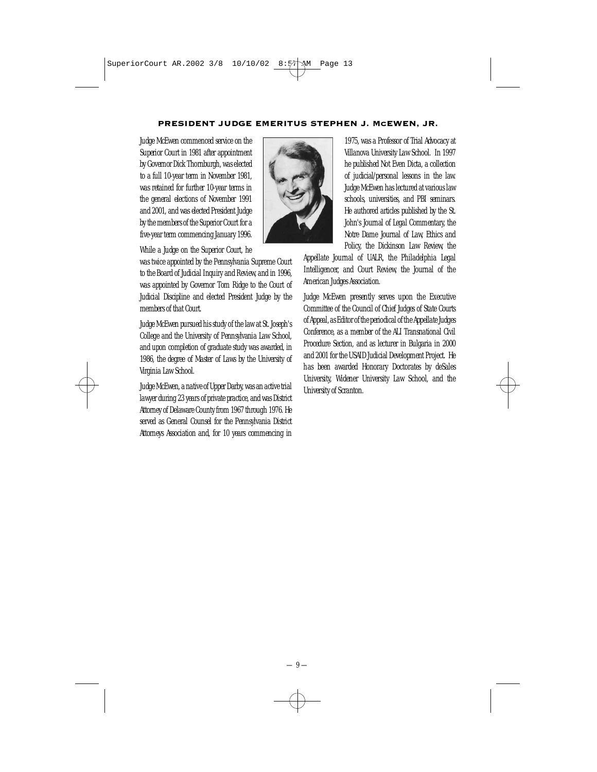### PRESIDENT JUDGE EMERITUS STEPHEN J. McEWEN, JR.

Judge McEwen commenced service on the Superior Court in 1981 after appointment by Governor Dick Thornburgh, was elected to a full 10-year term in November 1981, was retained for further 10-year terms in the general elections of November 1991 and 2001, and was elected President Judge by the members of the Superior Court for a five-year term commencing January 1996.



While a Judge on the Superior Court, he

was twice appointed by the Pennsylvania Supreme Court to the Board of Judicial Inquiry and Review, and in 1996, was appointed by Governor Tom Ridge to the Court of Judicial Discipline and elected President Judge by the members of that Court.

Judge McEwen pursued his study of the law at St. Joseph's College and the University of Pennsylvania Law School, and upon completion of graduate study was awarded, in 1986, the degree of Master of Laws by the University of Virginia Law School.

Judge McEwen, a native of Upper Darby, was an active trial lawyer during 23 years of private practice, and was District Attorney of Delaware County from 1967 through 1976. He served as General Counsel for the Pennsylvania District Attorneys Association and, for 10 years commencing in

1975, was a Professor of Trial Advocacy at Villanova University Law School. In 1997 he published Not Even Dicta, a collection of judicial/personal lessons in the law. Judge McEwen has lectured at various law schools, universities, and PBI seminars. He authored articles published by the St. John's Journal of Legal Commentary, the Notre Dame Journal of Law, Ethics and Policy, the Dickinson Law Review, the

Appellate Journal of UALR, the Philadelphia Legal Intelligencer, and Court Review, the Journal of the American Judges Association.

Judge McEwen presently serves upon the Executive Committee of the Council of Chief Judges of State Courts of Appeal, as Editor of the periodical of the Appellate Judges Conference, as a member of the ALI Transnational Civil Procedure Section, and as lecturer in Bulgaria in 2000 and 2001 for the USAID Judicial Development Project. He has been awarded Honorary Doctorates by deSales University, Widener University Law School, and the University of Scranton.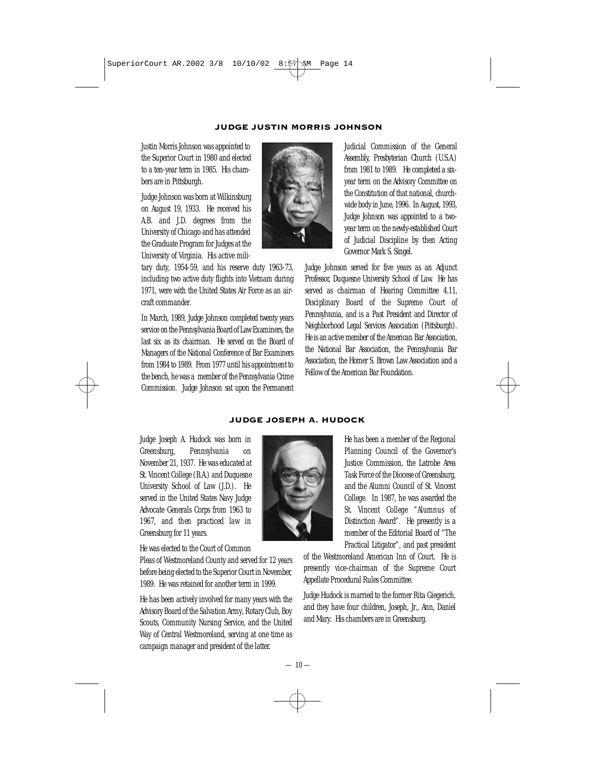### JUDGE JUSTIN MORRIS JOHNSON

Justin Morris Johnson was appointed to the Superior Court in 1980 and elected to a ten-year term in 1985. His chambers are in Pittsburgh.

Judge Johnson was born at Wilkinsburg on August 19, 1933. He received his A.B. and J.D. degrees from the University of Chicago and has attended the Graduate Program for Judges at the University of Virginia. His active mili-

tary duty, 1954-59, and his reserve duty 1963-73, including two active duty flights into Vietnam during 1971, were with the United States Air Force as an aircraft commander.

In March, 1989, Judge Johnson completed twenty years service on the Pennsylvania Board of Law Examiners, the last six as its chairman. He served on the Board of Managers of the National Conference of Bar Examiners from 1984 to 1989. From 1977 until his appointment to the bench, he was a member of the Pennsylvania Crime Commission. Judge Johnson sat upon the Permanent



Judicial Commission of the General Assembly, Presbyterian Church (U.S.A.) from 1981 to 1989. He completed a sixyear term on the Advisory Committee on the Constitution of that national, churchwide body in June, 1996. In August, 1993, Judge Johnson was appointed to a twoyear term on the newly-established Court of Judicial Discipline by then Acting Governor Mark S. Singel.

Judge Johnson served for five years as an Adjunct Professor, Duquesne University School of Law. He has served as chairman of Hearing Committee 4.11, Disciplinary Board of the Supreme Court of Pennsylvania, and is a Past President and Director of Neighborhood Legal Services Association (Pittsburgh). He is an active member of the American Bar Association, the National Bar Association, the Pennsylvania Bar Association, the Homer S. Brown Law Association and a Fellow of the American Bar Foundation.

### JUDGE JOSEPH A. HUDOCK

Judge Joseph A. Hudock was born in Greensburg, Pennsylvania on November 21, 1937. He was educated at St. Vincent College (B.A.) and Duquesne University School of Law (J.D.). He served in the United States Navy Judge Advocate Generals Corps from 1963 to 1967, and then practiced law in Greensburg for 11 years.

He was elected to the Court of Common

Pleas of Westmoreland County and served for 12 years before being elected to the Superior Court in November, 1989. He was retained for another term in 1999.

He has been actively involved for many years with the Advisory Board of the Salvation Army, Rotary Club, Boy Scouts, Community Nursing Service, and the United Way of Central Westmoreland, serving at one time as campaign manager and president of the latter.



He has been a member of the Regional Planning Council of the Governor's Justice Commission, the Latrobe Area Task Force of the Diocese of Greensburg, and the Alumni Council of St. Vincent College. In 1987, he was awarded the St. Vincent College "Alumnus of Distinction Award". He presently is a member of the Editorial Board of "The Practical Litigator", and past president

of the Westmoreland American Inn of Court. He is presently vice-chairman of the Supreme Court Appellate Procedural Rules Committee.

Judge Hudock is married to the former Rita Giegerich, and they have four children, Joseph, Jr., Ann, Daniel and Mary. His chambers are in Greensburg.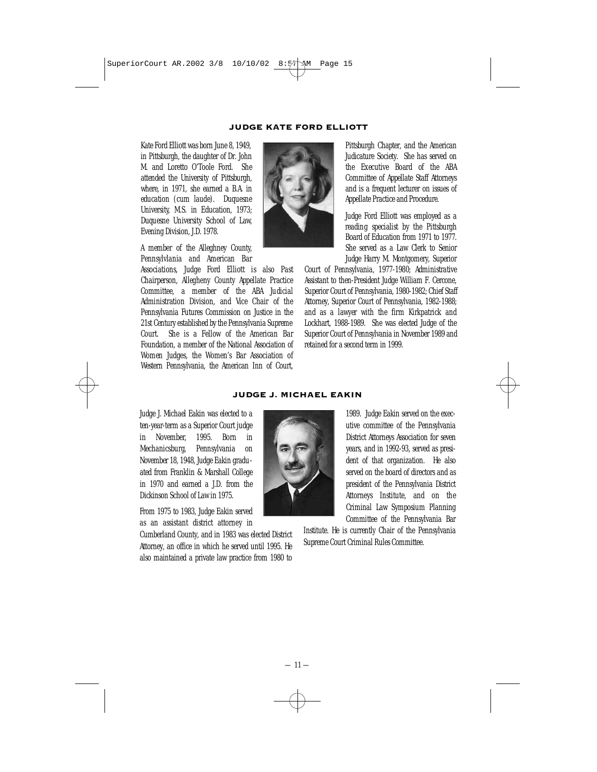### JUDGE KATE FORD ELLIOTT

Kate Ford Elliott was born June 8, 1949, in Pittsburgh, the daughter of Dr. John M. and Loretto O'Toole Ford. She attended the University of Pittsburgh, where, in 1971, she earned a B.A. in education (cum laude). Duquesne University, M.S. in Education, 1973; Duquesne University School of Law, Evening Division, J.D. 1978.

A member of the Alleghney County, Pennsylvlania and American Bar

Associations, Judge Ford Elliott is also Past Chairperson, Allegheny County Appellate Practice Committee, a member of the ABA Judicial Administration Division, and Vice Chair of the Pennsylvania Futures Commission on Justice in the 21st Century established by the Pennsylvania Supreme Court. She is a Fellow of the American Bar Foundation, a member of the National Association of Women Judges, the Women's Bar Association of Western Pennsylvania, the American Inn of Court,



Pittsburgh Chapter, and the American Judicature Society. She has served on the Executive Board of the ABA Committee of Appellate Staff Attorneys and is a frequent lecturer on issues of Appellate Practice and Procedure.

Judge Ford Elliott was employed as a reading specialist by the Pittsburgh Board of Education from 1971 to 1977. She served as a Law Clerk to Senior Judge Harry M. Montgomery, Superior

Court of Pennsylvania, 1977-1980; Administrative Assistant to then-President Judge William F. Cercone, Superior Court of Pennsylvania, 1980-1982; Chief Staff Attorney, Superior Court of Pennsylvania, 1982-1988; and as a lawyer with the firm Kirkpatrick and Lockhart, 1988-1989. She was elected Judge of the Superior Court of Pennsylvania in November 1989 and retained for a second term in 1999.

### JUDGE J. MICHAEL EAKIN

Judge J. Michael Eakin was elected to a ten-year-term as a Superior Court judge in November, 1995. Born in Mechanicsburg, Pennsylvania on November 18, 1948, Judge Eakin graduated from Franklin & Marshall College in 1970 and earned a J.D. from the Dickinson School of Law in 1975.

From 1975 to 1983, Judge Eakin served as an assistant district attorney in

Cumberland County, and in 1983 was elected District Attorney, an office in which he served until 1995. He also maintained a private law practice from 1980 to 1989. Judge Eakin served on the executive committee of the Pennsylvania District Attorneys Association for seven years, and in 1992-93, served as president of that organization. He also served on the board of directors and as president of the Pennsylvania District Attorneys Institute, and on the Criminal Law Symposium Planning Committee of the Pennsylvania Bar

Institute. He is currently Chair of the Pennsylvania Supreme Court Criminal Rules Committee.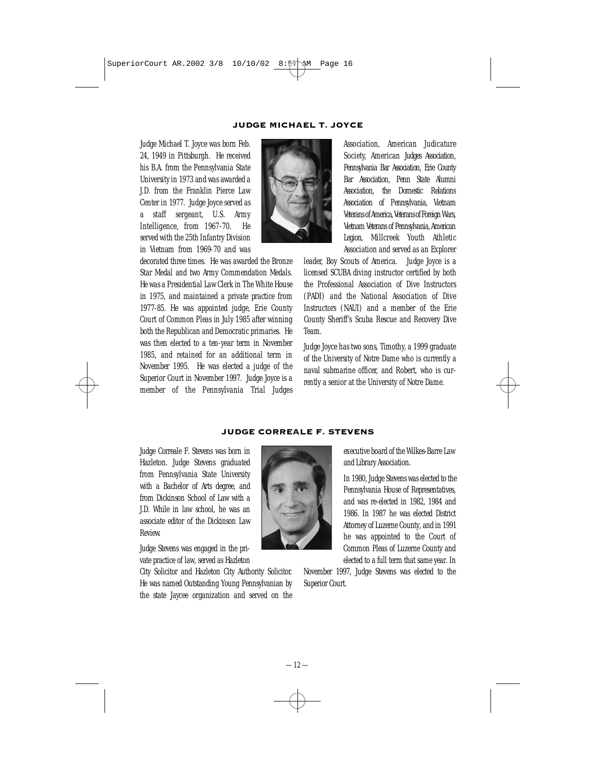### JUDGE MICHAEL T. JOYCE

Judge Michael T. Joyce was born Feb. 24, 1949 in Pittsburgh. He received his B.A. from the Pennsylvania State University in 1973 and was awarded a J.D. from the Franklin Pierce Law Center in 1977. Judge Joyce served as a staff sergeant, U.S. Army Intelligence, from 1967-70. He served with the 25th Infantry Division in Vietnam from 1969-70 and was



decorated three times. He was awarded the Bronze Star Medal and two Army Commendation Medals. He was a Presidential Law Clerk in The White House in 1975, and maintained a private practice from 1977-85. He was appointed judge, Erie County Court of Common Pleas in July 1985 after winning both the Republican and Democratic primaries. He was then elected to a ten-year term in November 1985, and retained for an additional term in November 1995. He was elected a judge of the Superior Court in November 1997. Judge Joyce is a member of the Pennsylvania Trial Judges

Association, American Judicature Society, American Judges Association, Pennsylvania Bar Association, Erie County Bar Association, Penn State Alumni Association, the Domestic Relations Association of Pennsylvania, Vietnam Veterans of America, Veterans of Foreign Wars, Vietnam Veterans of Pennsylvania, American Legion, Millcreek Youth Athletic Association and served as an Explorer

leader, Boy Scouts of America. Judge Joyce is a licensed SCUBA diving instructor certified by both the Professional Association of Dive Instructors ( PADI) and the National Association of Dive Instructors (NAUI) and a member of the Erie County Sheriff's Scuba Rescue and Recovery Dive Team.

Judge Joyce has two sons, Timothy, a 1999 graduate of the University of Notre Dame who is currently a naval submarine officer, and Robert, who is currently a senior at the University of Notre Dame.

### JUDGE CORREALE F. STEVENS

Judge Correale F. Stevens was born in Hazleton. Judge Stevens graduated from Pennsylvania State University with a Bachelor of Arts degree, and from Dickinson School of Law with a J.D. While in law school, he was an associate editor of the Dickinson Law Review.

Judge Stevens was engaged in the private practice of law, served as Hazleton

City Solicitor and Hazleton City Authority Solicitor. He was named Outstanding Young Pennsylvanian by the state Jaycee organization and served on the



executive board of the Wilkes-Barre Law and Library Association.

In 1980, Judge Stevens was elected to the Pennsylvania House of Representatives, and was re-elected in 1982, 1984 and 1986. In 1987 he was elected District Attorney of Luzerne County, and in 1991 he was appointed to the Court of Common Pleas of Luzerne County and elected to a full term that same year. In

November 1997, Judge Stevens was elected to the Superior Court.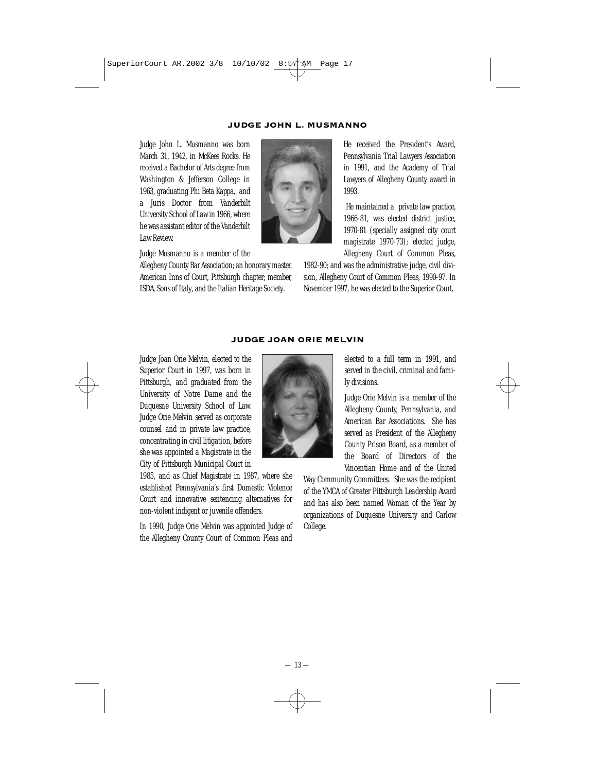### JUDGE JOHN L. MUSMANNO

Judge John L. Musmanno was born March 31, 1942, in McKees Rocks. He received a Bachelor of Arts degree from Washington & Jefferson College in 1963, graduating Phi Beta Kappa, and a Juris Doctor from Vanderbilt University School of Law in 1966, where he was assistant editor of the Vanderbilt Law Review.



Judge Musmanno is a member of the

Allegheny County Bar Association; an honorary master, American Inns of Court, Pittsburgh chapter; member, ISDA, Sons of Italy, and the Italian Heritage Society.

He received the President's Award, Pennsylvania Trial Lawyers Association in 1991, and the Academy of Trial Lawyers of Allegheny County award in 1993.

He maintained a private law practice, 1966-81, was elected district justice, 1970-81 (specially assigned city court magistrate 1970-73); elected judge, Allegheny Court of Common Pleas,

1982-90; and was the administrative judge, civil division, Allegheny Court of Common Pleas, 1990-97. In November 1997, he was elected to the Superior Court.

### JUDGE JOAN ORIE MELVIN

Judge Joan Orie Melvin, elected to the Superior Court in 1997, was born in Pittsburgh, and graduated from the University of Notre Dame and the Duquesne University School of Law. Judge Orie Melvin served as corporate counsel and in private law practice, concentrating in civil litigation, before she was appointed a Magistrate in the City of Pittsburgh Municipal Court in

1985, and as Chief Magistrate in 1987, where she established Pennsylvania's first Domestic Violence Court and innovative sentencing alternatives for non-violent indigent or juvenile offenders.

In 1990, Judge Orie Melvin was appointed Judge of the Allegheny County Court of Common Pleas and elected to a full term in 1991, and served in the civil, criminal and family divisions.

Judge Orie Melvin is a member of the Allegheny County, Pennsylvania, and American Bar Associations. She has served as President of the Allegheny County Prison Board, as a member of the Board of Directors of the Vincentian Home and of the United

Way Community Committees. She was the recipient of the YMCA of Greater Pittsburgh Leadership Award and has also been named Woman of the Year by organizations of Duquesne University and Carlow College.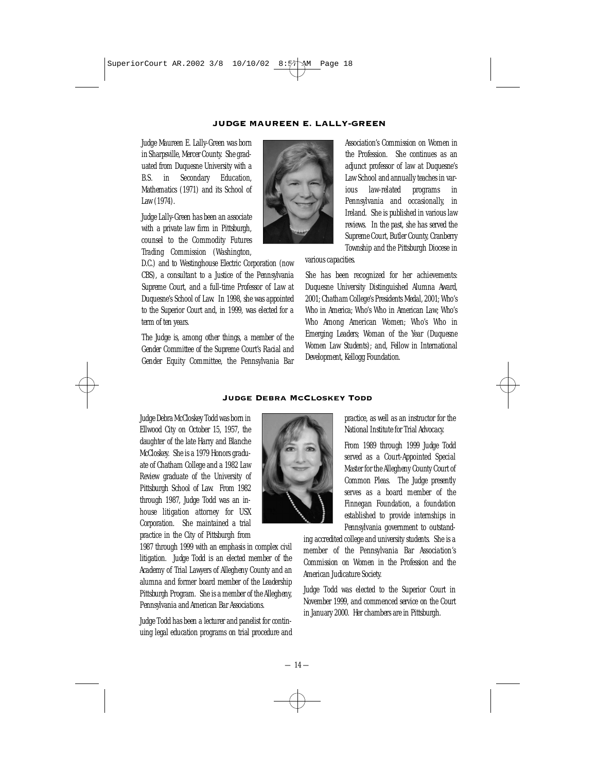### JUDGE MAUREEN E. LALLY-GREEN

Judge Maureen E. Lally-Green was born in Sharpsville, Mercer County. She graduated from Duquesne University with a B.S. in Secondary Education, Mathematics (1971) and its School of Law (1974).

Judge Lally-Green has been an associate with a private law firm in Pittsburgh, counsel to the Commodity Futures Trading Commission (Washington,

D.C.) and to Westinghouse Electric Corporation (now CBS), a consultant to a Justice of the Pennsylvania Supreme Court, and a full-time Professor of Law at Duquesne's School of Law. In 1998, she was appointed to the Superior Court and, in 1999, was elected for a term of ten years.

The Judge is, among other things, a member of the Gender Committee of the Supreme Court's Racial and Gender Equity Committee, the Pennsylvania Bar



Association's Commission on Women in the Profession. She continues as an adjunct professor of law at Duquesne's Law School and annually teaches in various law-related programs in Pennsylvania and occasionally, in Ireland. She is published in various law reviews. In the past, she has served the Supreme Court, Butler County, Cranberry Township and the Pittsburgh Diocese in

various capacities.

She has been recognized for her achievements: Duquesne University Distinguished Alumna Award, 2001; Chatham College's Presidents Medal, 2001; Who's Who in America; Who's Who in American Law; Who's Who Among American Women; Who's Who in Emerging Leaders; Woman of the Year (Duquesne Women Law Students); and, Fellow in International Development, Kellogg Foundation.

### Judge Debra McCloskey Todd

Judge Debra McCloskey Todd was born in Ellwood City on October 15, 1957, the daughter of the late Harry and Blanche McCloskey. She is a 1979 Honors graduate of Chatham College and a 1982 Law Review graduate of the University of Pittsburgh School of Law. From 1982 through 1987, Judge Todd was an inhouse litigation attorney for USX Corporation. She maintained a trial practice in the City of Pittsburgh from

1987 through 1999 with an emphasis in complex civil litigation. Judge Todd is an elected member of the Academy of Trial Lawyers of Allegheny County and an alumna and former board member of the Leadership Pittsburgh Program. She is a member of the Allegheny, Pennsylvania and American Bar Associations.

Judge Todd has been a lecturer and panelist for continuing legal education programs on trial procedure and



practice, as well as an instructor for the National Institute for Trial Advocacy.

From 1989 through 1999 Judge Todd served as a Court-Appointed Special Master for the Allegheny County Court of Common Pleas. The Judge presently serves as a board member of the Finnegan Foundation, a foundation established to provide internships in Pennsylvania government to outstand-

ing accredited college and university students. She is a member of the Pennsylvania Bar Association's Commission on Women in the Profession and the American Judicature Society.

Judge Todd was elected to the Superior Court in November 1999, and commenced service on the Court in January 2000. Her chambers are in Pittsburgh.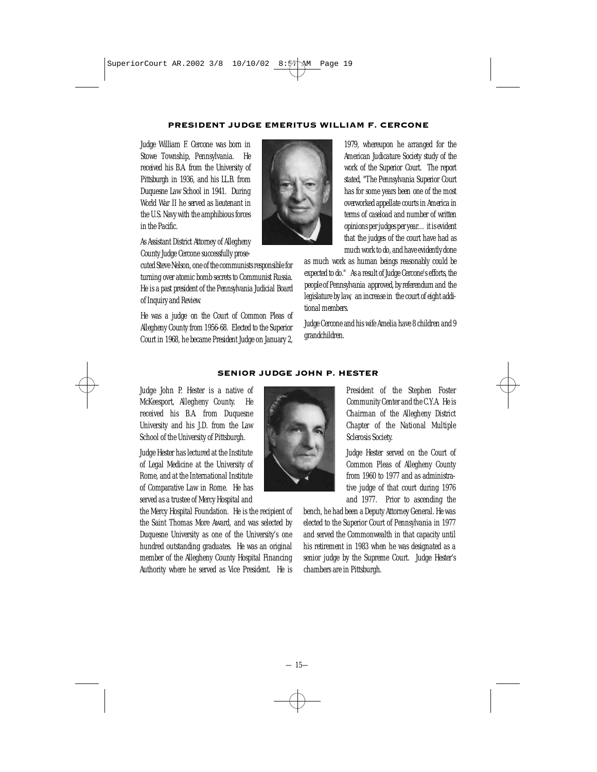### PRESIDENT JUDGE EMERITUS WILLIAM F. CERCONE

Judge William F. Cercone was born in Stowe Township, Pennsylvania. He received his B.A. from the University of Pittsburgh in 1936, and his LL.B. from Duquesne Law School in 1941. During World War II he served as lieutenant in the U.S. Navy with the amphibious forces in the Pacific.

As Assistant District Attorney of Allegheny County Judge Cercone successfully prose-

cuted Steve Nelson, one of the communists responsible for turning over atomic bomb secrets to Communist Russia. He is a past president of the Pennsylvania Judicial Board of Inquiry and Review.

He was a judge on the Court of Common Pleas of Allegheny County from 1956-68. Elected to the Superior Court in 1968, he became President Judge on January 2,



1979, whereupon he arranged for the American Judicature Society study of the work of the Superior Court. The report stated, "The Pennsylvania Superior Court has for some years been one of the most overworked appellate courts in America in terms of caseload and number of written opinions per judges per year…it is evident that the judges of the court have had as much work to do, and have evidently done

as much work as human beings reasonably could be expected to do." As a result of Judge Cercone's efforts, the people of Pennsylvania approved, by referendum and the legislature by law, an increase in the court of eight additional members.

Judge Cercone and his wife Amelia have 8 children and 9 grandchildren.

### SENIOR JUDGE JOHN P. HESTER

Judge John P. Hester is a native of McKeesport, Allegheny County. He received his B.A. from Duquesne University and his J.D. from the Law School of the University of Pittsburgh.

Judge Hester has lectured at the Institute of Legal Medicine at the University of Rome, and at the International Institute of Comparative Law in Rome. He has served as a trustee of Mercy Hospital and

the Mercy Hospital Foundation. He is the recipient of the Saint Thomas More Award, and was selected by Duquesne University as one of the University's one hundred outstanding graduates. He was an original member of the Allegheny County Hospital Financing Authority where he served as Vice President. He is



President of the Stephen Foster Community Center and the C.Y.A. He is Chairman of the Allegheny District Chapter of the National Multiple Sclerosis Society.

Judge Hester served on the Court of Common Pleas of Allegheny County from 1960 to 1977 and as administrative judge of that court during 1976 and 1977. Prior to ascending the

bench, he had been a Deputy Attorney General. He was elected to the Superior Court of Pennsylvania in 1977 and served the Commonwealth in that capacity until his retirement in 1983 when he was designated as a senior judge by the Supreme Court. Judge Hester's chambers are in Pittsburgh.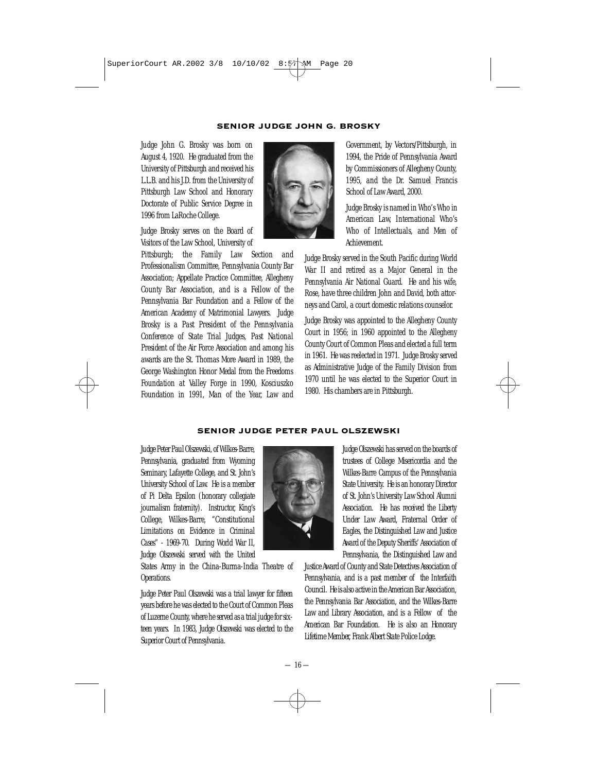### SENIOR JUDGE JOHN G. BROSKY

Judge John G. Brosky was born on August 4, 1920. He graduated from the University of Pittsburgh and received his L.L.B. and his J.D. from the University of Pittsburgh Law School and Honorary Doctorate of Public Service Degree in 1996 from LaRoche College.

Judge Brosky serves on the Board of Visitors of the Law School, University of

Pittsburgh; the Family Law Section and Professionalism Committee, Pennsylvania County Bar Association; Appellate Practice Committee, Allegheny County Bar Association, and is a Fellow of the Pennsylvania Bar Foundation and a Fellow of the American Academy of Matrimonial Lawyers. Judge Brosky is a Past President of the Pennsylvania Conference of State Trial Judges, Past National President of the Air Force Association and among his awards are the St. Thomas More Award in 1989, the George Washington Honor Medal from the Freedoms Foundation at Valley Forge in 1990, Kosciuszko Foundation in 1991. Man of the Year, Law and



Government, by Vectors/Pittsburgh, in 1994, the Pride of Pennsylvania Award by Commissioners of Allegheny County, 1995, and the Dr. Samuel Francis School of Law Award, 2000.

Judge Brosky is named in Who's Who in American Law, International Who's Who of Intellectuals, and Men of Achievement.

Judge Brosky served in the South Pacific during World War II and retired as a Major General in the Pennsylvania Air National Guard. He and his wife, Rose, have three children John and David, both attorneys and Carol, a court domestic relations counselor.

Judge Brosky was appointed to the Allegheny County Court in 1956; in 1960 appointed to the Allegheny County Court of Common Pleas and elected a full term in 1961. He was reelected in 1971. Judge Brosky served as Administrative Judge of the Family Division from 1970 until he was elected to the Superior Court in 1980. His chambers are in Pittsburgh.

### SENIOR JUDGE PETER PAUL OLSZEWSKI

Judge Peter Paul Olszewski, of Wilkes-Barre, Pennsylvania, graduated from Wyoming Seminary, Lafayette College, and St. John's University School of Law. He is a member of Pi Delta Epsilon (honorary collegiate journalism fraternity). Instructor, King's College, Wilkes-Barre, "Constitutional Limitations on Evidence in Criminal Cases" - 1969-70. During World War II, Judge Olszewski served with the United

States Army in the China-Burma-India Theatre of Operations.

Judge Peter Paul Olszewski was a trial lawyer for fifteen years before he was elected to the Court of Common Pleas of Luzerne County, where he served as a trial judge for sixteen years. In 1983, Judge Olszewski was elected to the Superior Court of Pennsylvania.



Judge Olszewski has served on the boards of trustees of College Misericordia and the Wilkes-Barre Campus of the Pennsylvania State University. He is an honorary Director of St. John's University Law School Alumni Association. He has received the Liberty Under Law Award, Fraternal Order of Eagles, the Distinguished Law and Justice Award of the Deputy Sheriffs' Association of Pennsylvania, the Distinguished Law and

Justice Award of County and State Detectives Association of Pennsylvania, and is a past member of the Interfaith Council. He is also active in the American Bar Association, the Pennsylvania Bar Association, and the Wilkes-Barre Law and Library Association, and is a Fellow of the American Bar Foundation. He is also an Honorary Lifetime Member, Frank Albert State Police Lodge.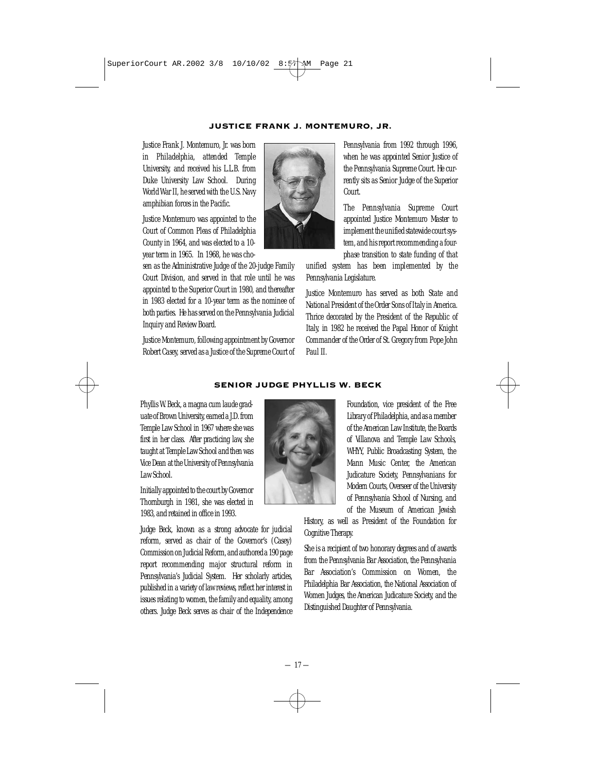#### JUSTICE FRANK J. MONTEMURO, JR.

Justice Frank J. Montemuro, Jr. was born in Philadelphia, attended Temple University, and received his L.L.B. from Duke University Law School. During World War II, he served with the U.S. Navy amphibian forces in the Pacific.

Justice Montemuro was appointed to the Court of Common Pleas of Philadelphia County in 1964, and was elected to a 10 year term in 1965. In 1968, he was cho-

sen as the Administrative Judge of the 20-judge Family Court Division, and served in that role until he was appointed to the Superior Court in 1980, and thereafter in 1983 elected for a 10-year term as the nominee of both parties. He has served on the Pennsylvania Judicial Inquiry and Review Board.

Justice Montemuro, following appointment by Governor Robert Casey, served as a Justice of the Supreme Court of



Pennsylvania from 1992 through 1996, when he was appointed Senior Justice of the Pennsylvania Supreme Court. He currently sits as Senior Judge of the Superior Court.

The Pennsylvania Supreme Court appointed Justice Montemuro Master to implement the unified statewide court system, and his report recommending a fourphase transition to state funding of that

unified system has been implemented by the Pennsylvania Legislature.

Justice Montemuro has served as both State and National President of the Order Sons of Italy in America. Thrice decorated by the President of the Republic of Italy, in 1982 he received the Papal Honor of Knight Commander of the Order of St. Gregory from Pope John Paul II.

### SENIOR JUDGE PHYLLIS W. BECK

Phyllis W. Beck, a magna cum laude graduate of Brown University, earned a J.D. from Temple Law School in 1967 where she was first in her class. After practicing law, she taught at Temple Law School and then was Vice Dean at the University of Pennsylvania Law School.

Initially appointed to the court by Governor Thornburgh in 1981, she was elected in 1983, and retained in office in 1993.

Judge Beck, known as a strong advocate for judicial reform, served as chair of the Governor's (Casey) Commission on Judicial Reform, and authored a 190 page report recommending major structural reform in Pennsylvania's Judicial System. Her scholarly articles, published in a variety of law reviews, reflect her interest in issues relating to women, the family and equality, among others. Judge Beck serves as chair of the Independence



Foundation, vice president of the Free Library of Philadelphia, and as a member of the American Law Institute, the Boards of Villanova and Temple Law Schools, WHYY, Public Broadcasting System, the Mann Music Center, the American Judicature Society, Pennsylvanians for Modern Courts, Overseer of the University of Pennsylvania School of Nursing, and of the Museum of American Jewish

History, as well as President of the Foundation for Cognitive Therapy.

She is a recipient of two honorary degrees and of awards from the Pennsylvania Bar Association, the Pennsylvania Bar Association's Commission on Women, the Philadelphia Bar Association, the National Association of Women Judges, the American Judicature Society, and the Distinguished Daughter of Pennsylvania.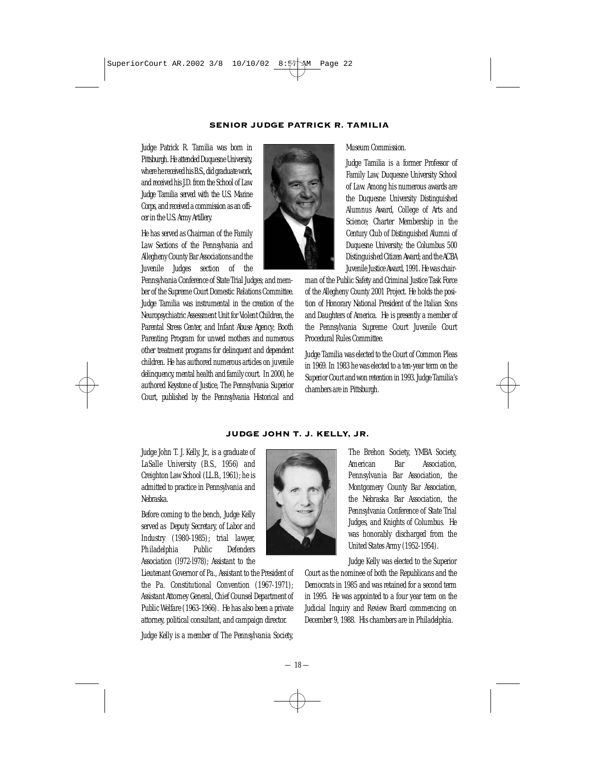### SENIOR JUDGE PATRICK R. TAMILIA

Judge Patrick R. Tamilia was born in Pittsburgh. He attended Duquesne University, where he received his B.S., did graduate work, and received his J.D. from the School of Law. Judge Tamilia served with the U.S. Marine Corps, and received a commission as an officer in the U.S. Army Artillery.

He has served as Chairman of the Family Law Sections of the Pennsylvania and Allegheny County Bar Associations and the Juvenile Judges section of the

Pennsylvania Conference of State Trial Judges; and member of the Supreme Court Domestic Relations Committee. Judge Tamilia was instrumental in the creation of the Neuropsychiatric Assessment Unit for Violent Children, the Parental Stress Center, and Infant Abuse Agency; Booth Parenting Program for unwed mothers and numerous other treatment programs for delinquent and dependent children. He has authored numerous articles on juvenile delinquency, mental health and family court. In 2000, he authored Keystone of Justice, The Pennsylvania Superior Court, published by the Pennsylvania Historical and



Museum Commission.

Judge Tamilia is a former Professor of Family Law, Duquesne University School of Law. Among his numerous awards are the Duquesne University Distinguished Alumnus Award, College of Arts and Science; Charter Membership in the Century Club of Distinguished Alumni of Duquesne University; the Columbus 500 Distinguished Citizen Award; and the ACBA Juvenile Justice Award, 1991. He was chair-

man of the Public Safety and Criminal Justice Task Force of the Allegheny County 2001 Project. He holds the position of Honorary National President of the Italian Sons and Daughters of America. He is presently a member of the Pennsylvania Supreme Court Juvenile Court Procedural Rules Committee.

Judge Tamilia was elected to the Court of Common Pleas in 1969. In 1983 he was elected to a ten-year term on the Superior Court and won retention in 1993. Judge Tamilia's chambers are in Pittsburgh.

### JUDGE JOHN T. J. KELLY, JR.

Judge John T. J. Kelly, Jr., is a graduate of LaSalle University (B.S., 1956) and Creighton Law School (LL.B., 1961); he is admitted to practice in Pennsylvania and Nebraska.

Before coming to the bench, Judge Kelly served as Deputy Secretary, of Labor and Industry (1980-1985); trial lawyer, Philadelphia Public Defenders Association (l972-l978); Assistant to the

Lieutenant Governor of Pa., Assistant to the President of the Pa. Constitutional Convention (1967-1971); Assistant Attorney General, Chief Counsel Department of Public Welfare (1963-1966). He has also been a private attorney, political consultant, and campaign director.

Judge Kelly is a member of The Pennsylvania Society,



The Brehon Society, YMBA Society, American Bar Association, Pennsylvania Bar Association, the Montgomery County Bar Association, the Nebraska Bar Association, the Pennsylvania Conference of State Trial Judges, and Knights of Columbus. He was honorably discharged from the United States Army (1952-1954).

Judge Kelly was elected to the Superior

Court as the nominee of both the Republicans and the Democrats in 1985 and was retained for a second term in 1995. He was appointed to a four year term on the Judicial Inquiry and Review Board commencing on December 9, 1988. His chambers are in Philadelphia.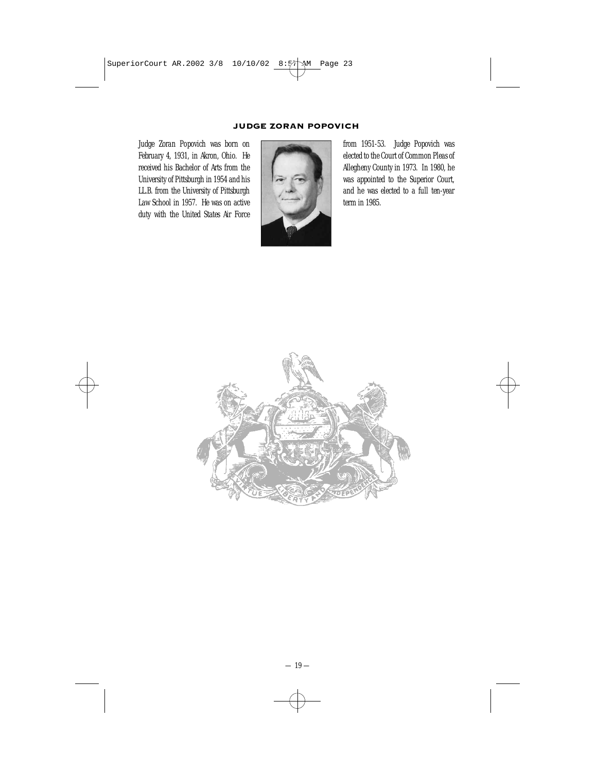### JUDGE ZORAN POPOVICH

Judge Zoran Popovich was born on February 4, 1931, in Akron, Ohio. He received his Bachelor of Arts from the University of Pittsburgh in 1954 and his LL.B. from the University of Pittsburgh Law School in 1957. He was on active duty with the United States Air Force



from 1951-53. Judge Popovich was elected to the Court of Common Pleas of Allegheny County in 1973. In 1980, he was appointed to the Superior Court, and he was elected to a full ten-year term in 1985.

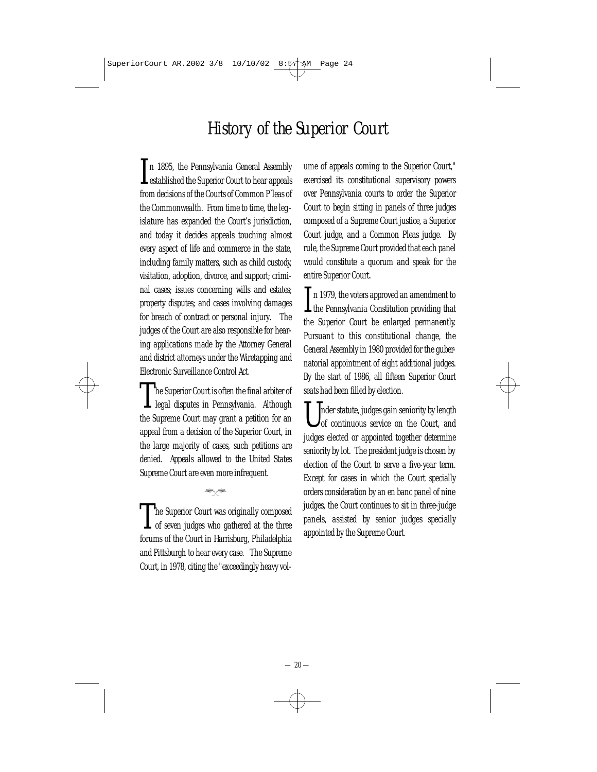# *History of the Superior Court*

In 1895, the Pennsylvania General Assembly<br>established the Superior Court to hear appeals n 1895, the Pennsylvania General Assembly from decisions of the Courts of Common P`leas of the Commonwealth. From time to time, the legislature has expanded the Court's jurisdiction, and today it decides appeals touching almost every aspect of life and commerce in the state, including family matters, such as child custody, visitation, adoption, divorce, and support; criminal cases; issues concerning wills and estates; property disputes; and cases involving damages for breach of contract or personal injury. The judges of the Court are also responsible for hearing applications made by the Attorney General and district attorneys under the Wiretapping and Electronic Surveillance Control Act.

The Superior Court is often the final arbiter of<br>legal disputes in Pennsylvania. Although he Superior Court is often the final arbiter of the Supreme Court may grant a petition for an appeal from a decision of the Superior Court, in the large majority of cases, such petitions are denied. Appeals allowed to the United States Supreme Court are even more infrequent.

The Superior Court was originally composed<br>of seven judges who gathered at the three  $\perp$  of seven judges who gathered at the three forums of the Court in Harrisburg, Philadelphia and Pittsburgh to hear every case. The Supreme Court, in 1978, citing the "exceedingly heavy vol-

ga

ume of appeals coming to the Superior Court," exercised its constitutional supervisory powers over Pennsylvania courts to order the Superior Court to begin sitting in panels of three judges composed of a Supreme Court justice, a Superior Court judge, and a Common Pleas judge. By rule, the Supreme Court provided that each panel would constitute a quorum and speak for the entire Superior Court.

In 1979, the voters approved an amendment to<br>the Pennsylvania Constitution providing that In 1979, the voters approved an amendment to the Superior Court be enlarged permanently. Pursuant to this constitutional change, the General Assembly in 1980 provided for the gubernatorial appointment of eight additional judges. By the start of 1986, all fifteen Superior Court seats had been filled by election.

Under statute, judges gain seniority by length<br>of continuous service on the Court, and of continuous service on the Court, and judges elected or appointed together determine seniority by lot. The president judge is chosen by election of the Court to serve a five-year term. Except for cases in which the Court specially orders consideration by an en banc panel of nine judges, the Court continues to sit in three-judge panels, assisted by senior judges specially appointed by the Supreme Court.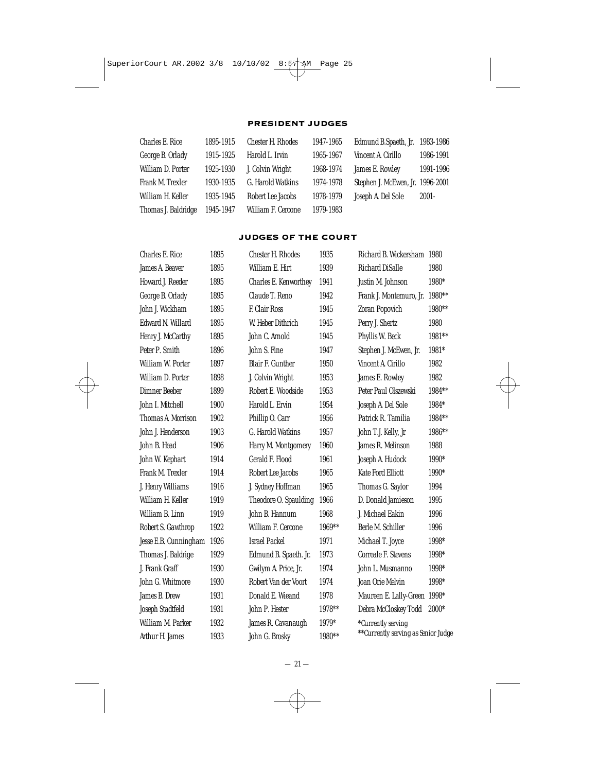## PRESIDENT JUDGES

| Charles E. Rice     | 1895-1915 | Chester H. Rhodes  | 1947-1965 | Edmund B.Spaeth, Jr. 1983-1986   |           |
|---------------------|-----------|--------------------|-----------|----------------------------------|-----------|
| George B. Orlady    | 1915-1925 | Harold L. Irvin    | 1965-1967 | Vincent A. Cirillo               | 1986-1991 |
| William D. Porter   | 1925-1930 | J. Colvin Wright   | 1968-1974 | James E. Rowley                  | 1991-1996 |
| Frank M. Trexler    | 1930-1935 | G. Harold Watkins  | 1974-1978 | Stephen J. McEwen, Jr. 1996-2001 |           |
| William H. Keller   | 1935-1945 | Robert Lee Jacobs  | 1978-1979 | Joseph A. Del Sole               | $2001 -$  |
| Thomas J. Baldridge | 1945-1947 | William F. Cercone | 1979-1983 |                                  |           |

### JUDGES OF THE COURT

| Charles E. Rice       | 1895 | <b>Chester H. Rhodes</b> | 1935     | Richard B. Wickersham 1980                                |         |
|-----------------------|------|--------------------------|----------|-----------------------------------------------------------|---------|
| James A. Beaver       | 1895 | William E. Hirt          | 1939     | <b>Richard DiSalle</b>                                    | 1980    |
| Howard J. Reeder      | 1895 | Charles E. Kenworthey    | 1941     | Justin M. Johnson                                         | 1980*   |
| George B. Orlady      | 1895 | Claude T. Reno           | 1942     | Frank J. Montemuro, Jr. 1980**                            |         |
| John J. Wickham       | 1895 | F. Clair Ross            | 1945     | Zoran Popovich                                            | 1980**  |
| Edward N. Willard     | 1895 | W. Heber Dithrich        | 1945     | Perry J. Shertz                                           | 1980    |
| Henry J. McCarthy     | 1895 | John C. Arnold           | 1945     | Phyllis W. Beck                                           | 1981**  |
| Peter P. Smith        | 1896 | John S. Fine             | 1947     | Stephen J. McEwen, Jr.                                    | 1981*   |
| William W. Porter     | 1897 | <b>Blair F. Gunther</b>  | 1950     | Vincent A. Cirillo                                        | 1982    |
| William D. Porter     | 1898 | J. Colvin Wright         | 1953     | James E. Rowley                                           | 1982    |
| Dimner Beeber         | 1899 | Robert E. Woodside       | 1953     | Peter Paul Olszewski                                      | 1984**  |
| John I. Mitchell      | 1900 | Harold L. Ervin          | 1954     | Joseph A. Del Sole                                        | 1984*   |
| Thomas A. Morrison    | 1902 | Phillip O. Carr          | 1956     | Patrick R. Tamilia                                        | 1984**  |
| John J. Henderson     | 1903 | G. Harold Watkins        | 1957     | John T.J. Kelly, Jr                                       | 1986**  |
| John B. Head          | 1906 | Harry M. Montgomery      | 1960     | James R. Melinson                                         | 1988    |
| John W. Kephart       | 1914 | Gerald F. Flood          | 1961     | Joseph A. Hudock                                          | 1990*   |
| Frank M. Trexler      | 1914 | Robert Lee Jacobs        | 1965     | <b>Kate Ford Elliott</b>                                  | 1990*   |
| J. Henry Williams     | 1916 | J. Sydney Hoffman        | 1965     | Thomas G. Saylor                                          | 1994    |
| William H. Keller     | 1919 | Theodore O. Spaulding    | 1966     | D. Donald Jamieson                                        | 1995    |
| William B. Linn       | 1919 | John B. Hannum           | 1968     | J. Michael Eakin                                          | 1996    |
| Robert S. Gawthrop    | 1922 | William F. Cercone       | $1969**$ | Berle M. Schiller                                         | 1996    |
| Jesse E.B. Cunningham | 1926 | <b>Israel Packel</b>     | 1971     | Michael T. Joyce                                          | 1998*   |
| Thomas J. Baldrige    | 1929 | Edmund B. Spaeth. Jr.    | 1973     | Correale F. Stevens                                       | 1998*   |
| J. Frank Graff        | 1930 | Gwilym A. Price, Jr.     | 1974     | John L. Musmanno                                          | 1998*   |
| John G. Whitmore      | 1930 | Robert Van der Voort     | 1974     | Joan Orie Melvin                                          | 1998*   |
| James B. Drew         | 1931 | Donald E. Wieand         | 1978     | Maureen E. Lally-Green 1998*                              |         |
| Joseph Stadtfeld      | 1931 | John P. Hester           | 1978**   | Debra McCloskey Todd                                      | $2000*$ |
| William M. Parker     | 1932 | James R. Cavanaugh       | 1979*    | *Currently serving<br>**Currently serving as Senior Judge |         |
| Arthur H. James       | 1933 | John G. Brosky           | $1980**$ |                                                           |         |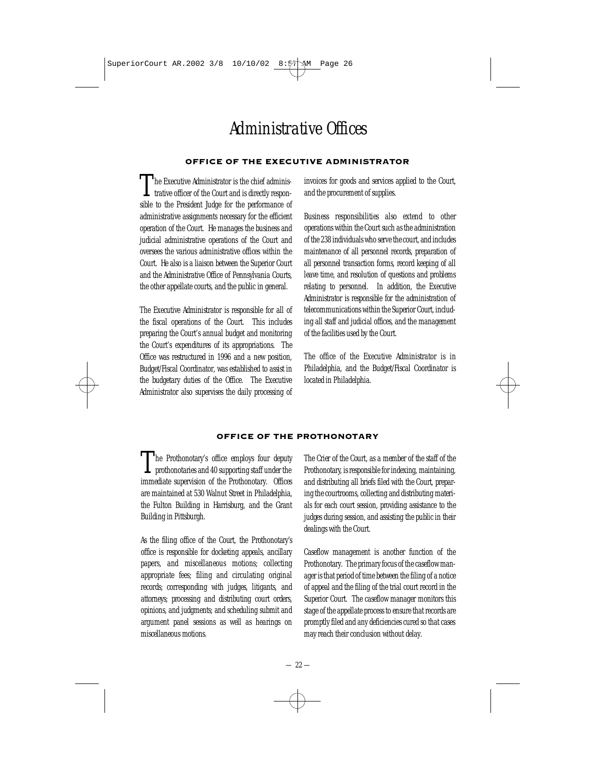# *Administrative Offices*

### OFFICE OF THE EXECUTIVE ADMINISTRATOR

The Executive Administrator is the chief administrator of the Court and is directly responding to the chief administrator of the Court and is directly responding to the  $\overline{\phantom{a}}$ trative officer of the Court and is directly responsible to the President Judge for the performance of administrative assignments necessary for the efficient operation of the Court. He manages the business and judicial administrative operations of the Court and oversees the various administrative offices within the Court. He also is a liaison between the Superior Court and the Administrative Office of Pennsylvania Courts, the other appellate courts, and the public in general.

The Executive Administrator is responsible for all of the fiscal operations of the Court. This includes preparing the Court's annual budget and monitoring the Court's expenditures of its appropriations. The Office was restructured in 1996 and a new position, Budget/Fiscal Coordinator, was established to assist in the budgetary duties of the Office. The Executive Administrator also supervises the daily processing of

invoices for goods and services applied to the Court, and the procurement of supplies.

Business responsibilities also extend to other operations within the Court such as the administration of the 238 individuals who serve the court, and includes maintenance of all personnel records, preparation of all personnel transaction forms, record keeping of all leave time, and resolution of questions and problems relating to personnel. In addition, the Executive Administrator is responsible for the administration of telecommunications within the Superior Court, including all staff and judicial offices, and the management of the facilities used by the Court.

The office of the Executive Administrator is in Philadelphia, and the Budget/Fiscal Coordinator is located in Philadelphia.

### OFFICE OF THE PROTHONOTARY

The Prothonotary's office employs four deputy<br>prothonotaries and 40 supporting staff under the<br>wide in the supporting staff under the he Prothonotary's office employs four deputy immediate supervision of the Prothonotary. Offices are maintained at 530 Walnut Street in Philadelphia, the Fulton Building in Harrisburg, and the Grant Building in Pittsburgh.

As the filing office of the Court, the Prothonotary's office is responsible for docketing appeals, ancillary papers, and miscellaneous motions; collecting appropriate fees; filing and circulating original records; corresponding with judges, litigants, and attorneys; processing and distributing court orders, opinions, and judgments; and scheduling submit and argument panel sessions as well as hearings on miscellaneous motions.

The Crier of the Court, as a member of the staff of the Prothonotary, is responsible for indexing, maintaining, and distributing all briefs filed with the Court, preparing the courtrooms, collecting and distributing materials for each court session, providing assistance to the judges during session, and assisting the public in their dealings with the Court.

Caseflow management is another function of the Prothonotary. The primary focus of the caseflow manager is that period of time between the filing of a notice of appeal and the filing of the trial court record in the Superior Court. The caseflow manager monitors this stage of the appellate process to ensure that records are promptly filed and any deficiencies cured so that cases may reach their conclusion without delay.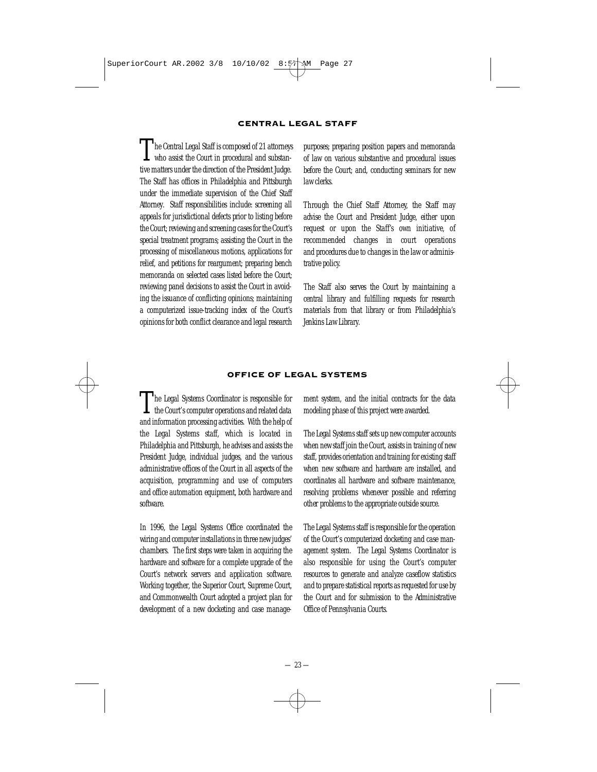### CENTRAL LEGAL STAFF

The Central Legal Staff is composed of 21 attorneys<br>who assist the Court in procedural and substantiants who assist the Court in procedural and substantive matters under the direction of the President Judge. The Staff has offices in Philadelphia and Pittsburgh under the immediate supervision of the Chief Staff Attorney. Staff responsibilities include: screening all appeals for jurisdictional defects prior to listing before the Court; reviewing and screening cases for the Court's special treatment programs; assisting the Court in the processing of miscellaneous motions, applications for relief, and petitions for reargument; preparing bench memoranda on selected cases listed before the Court; reviewing panel decisions to assist the Court in avoiding the issuance of conflicting opinions; maintaining a computerized issue-tracking index of the Court's opinions for both conflict clearance and legal research

purposes; preparing position papers and memoranda of law on various substantive and procedural issues before the Court; and, conducting seminars for new law clerks.

Through the Chief Staff Attorney, the Staff may advise the Court and President Judge, either upon request or upon the Staff's own initiative, of recommended changes in court operations and procedures due to changes in the law or administrative policy.

The Staff also serves the Court by maintaining a central library and fulfilling requests for research materials from that library or from Philadelphia's Jenkins Law Library.

### OFFICE OF LEGAL SYSTEMS

The Legal Systems Coordinator is responsible for the Court's computer operations and related data  $\perp$  the Court's computer operations and related data and information processing activities. With the help of the Legal Systems staff, which is located in Philadelphia and Pittsburgh, he advises and assists the President Judge, individual judges, and the various administrative offices of the Court in all aspects of the acquisition, programming and use of computers and office automation equipment, both hardware and software.

In 1996, the Legal Systems Office coordinated the wiring and computer installations in three new judges' chambers. The first steps were taken in acquiring the hardware and software for a complete upgrade of the Court's network servers and application software. Working together, the Superior Court, Supreme Court, and Commonwealth Court adopted a project plan for development of a new docketing and case management system, and the initial contracts for the data modeling phase of this project were awarded.

The Legal Systems staff sets up new computer accounts when new staff join the Court, assists in training of new staff, provides orientation and training for existing staff when new software and hardware are installed, and coordinates all hardware and software maintenance, resolving problems whenever possible and referring other problems to the appropriate outside source.

The Legal Systems staff is responsible for the operation of the Court's computerized docketing and case management system. The Legal Systems Coordinator is also responsible for using the Court's computer resources to generate and analyze caseflow statistics and to prepare statistical reports as requested for use by the Court and for submission to the Administrative Office of Pennsylvania Courts.